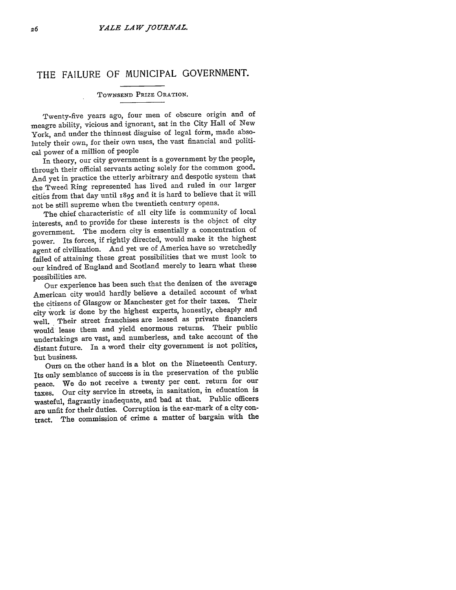## THE **FAILURE** OF **MUNICIPAL GOVERNMENT.**

## TOWNSEND PRIZE ORATION.

Twenty-five years ago, four men of obscure origin and of meagre ability, vicious and ignorant, sat in the City Hall of New York, and under the thinnest disguise of legal form, made absolutely their own, for their own uses, the vast financial and political power of a million of people

In theory, our city government is a government by the people, through their official servants acting solely for the common good. And yet in practice the utterly arbitrary and despotic system that the Tweed Ring represented has lived and ruled in our larger cities from that day until 1895 and it is hard to believe that it will not be still supreme when the twentieth century opens.

The chief characteristic of all city life is community of local interests, and to provide for these interests is the object of city government. The modern city is essentially a concentration of power. Its forces, if rightly directed, would make it the highest agent of civilization. And yet we of America have so wretchedly failed of attaining these great possibilities that we must look to our kindred of England and Scotland merely to learn what these possibilities are.

Our experience has been such that the denizen of the average American city would hardly believe a detailed account of what the citizens of Glasgow or Manchester get for their taxes. Their city work **is** done by the highest experts, honestly, cheaply and well. Their street franchises are leased as private financiers would lease them and yield enormous returns. Their public undertakings are vast, and numberless, and take account of the distant future. In a word their city government is not politics, but business.

Ours on the other hand is a blot on the Nineteenth Century. Its only semblance of success is in the preservation of the public peace. We do not receive a twenty per cent. return for our taxes. Our city service in streets, in sanitation, in education is wasteful, flagrantly inadequate, and bad at that. Public officers are unfit for their duties. Corruption is the ear-mark of a city contract. The commission of crime a matter of bargain with the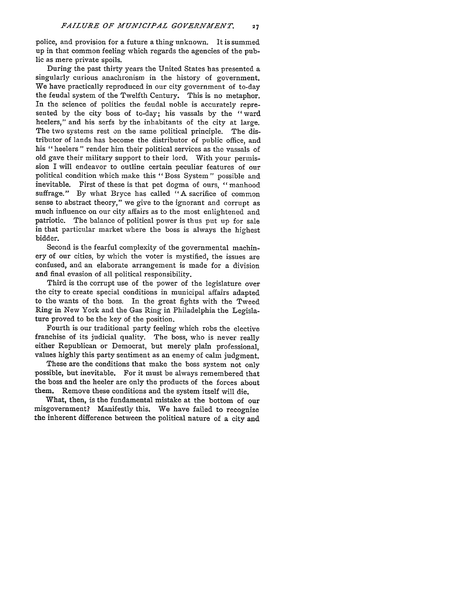police, and provision for a future a thing unknown. It is summed up in that common feeling which regards the agencies of the public as mere private spoils.

During the past thirty years the United States has presented a singularly curious anachronism in the history of government. We have practically reproduced in our city government of to-day the feudal system of the Twelfth Century. This is no metaphor. In the science of politics the feudal noble is accurately represented by the city boss of to-day; his vassals by the "ward heelers," and his serfs by the inhabitants of the city at large. The two systems rest on the same political principle. The distributor of lands has become the distributor of public office, and his "heelers" render him their political services as the vassals of old gave their military support to their lord. With your permission I will endeavor to outline certain peculiar features of our political condition which make this "Boss System" possible and inevitable. First of these is that pet dogma of ours, "manhood suffrage." By what Bryce has called "A sacrifice of common sense to abstract theory," we give to the ignorant and corrupt as much influence on our city affairs as to the most enlightened and patriotic. The balance of political power is thus put up for sale in that particular market where the boss is always the highest bidder.

Second is the fearful complexity of the governmental machinery of our cities, by which the voter is mystified, the issues are confused, and an elaborate arrangement is made for a division and final evasion of all political responsibility.

Third is the corrupt use of the power of the legislature over the city to create special conditions in municipal affairs adapted to the wants of the boss. In the great fights with the Tweed Ring in New York and the Gas Ring in Philadelphia the Legislature proved to be the key of the position.

Fourth is our traditional party feeling which robs the elective franchise of its judicial quality. The boss, who is never really either Republican or Democrat, but merely plain professional, values highly this party sentiment as an enemy of calm judgment.

These are the conditions that make the boss system not only possible, but inevitable. For it must be always remembered that the boss and the heeler are only the products of the forces about them. Remove these conditions and the system itself will die.

What, then, is the fundamental mistake at the bottom of our misgovernment? Manifestly this. We have failed to recognize the inherent difference between the political nature of a city and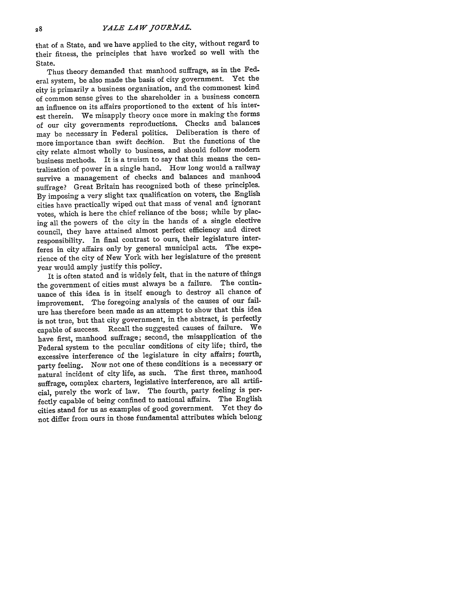that of a State, and we have applied to the city, without regard to their fitness, the principles that have worked so well with the State.

Thus theory demanded that manhood suffrage, as in the Federal system, be also made the basis of city government. Yet the city is primarily a business organization, and the commonest kind of common sense gives to the shareholder in a business concern an influence on its affairs proportioned to the extent of his interest therein. We misapply theory once more in making the forms of our city governments reproductions. Checks and balances may be necessary in Federal politics. Deliberation is there of more importance than swift decision. But the functions of the city relate almost wholly to business, and should follow modern business methods. It is a truism to say that this means the centralization of power in a single hand. How long would a railway survive a management of checks and balances and manhood suffrage? Great Britain has recognized both of these principles. By imposing a very slight tax qualification on voters, the English cities have practically wiped out that mass of venal and ignorant votes, which is here the chief reliance of the boss; while by placing all the powers of the city in the hands of a single elective council, they have attained almost perfect efficiency and direct responsibility. In final contrast to ours, their legislature interferes in city affairs only by general municipal acts. The experience of the city of New York with her legislature of the present year would amply justify this policy.

It is often stated and is widely felt, that in the nature of things the government of cities must always be a failure. The continuance of this idea is in itself enough to destroy all chance of improvement. The foregoing analysis of the causes of our failure has therefore been made as an attempt to show that this idea is not true, but that city government, in the abstract, is perfectly capable of success. Recall the suggested causes of failure. We have first, manhood suffrage; second, the misapplication of the Federal system to the peculiar conditions of city life; third, the excessive interference of the legislature in city affairs; fourth, party feeling. Now not one of these conditions is a necessary or natural incident of city life, as such. The first three, manhood suffrage, complex charters, legislative interference, are all artificial, purely the work of law. The fourth, party feeling is perfectly capable of being confined to national affairs. The English cities stand for us as examples of good government. Yet they **do** not differ from ours in those fundamental attributes which belong